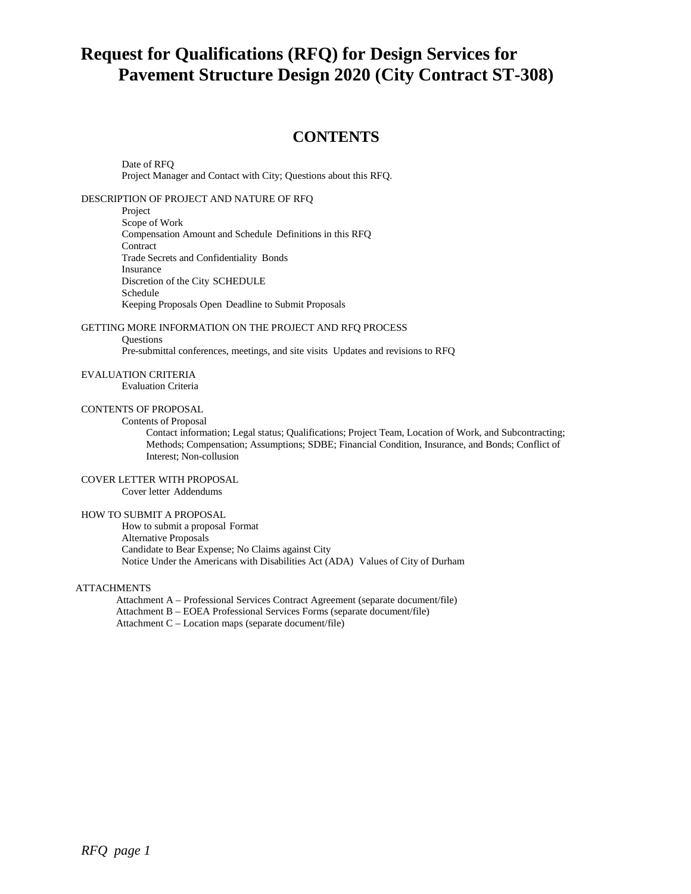# **Request for Qualifications (RFQ) for Design Services for Pavement Structure Design 2020 (City Contract ST-308)**

# **CONTENTS**

Date of RFQ Project Manager and Contact with City; Questions about this RFQ.

DESCRIPTION OF PROJECT AND NATURE OF RFQ

Project Scope of Work Compensation Amount and Schedule Definitions in this RFQ **Contract** Trade Secrets and Confidentiality Bonds Insurance Discretion of the City SCHEDULE Schedule Keeping Proposals Open Deadline to Submit Proposals

GETTING MORE INFORMATION ON THE PROJECT AND RFQ PROCESS

**Ouestions** 

Pre-submittal conferences, meetings, and site visits Updates and revisions to RFQ

EVALUATION CRITERIA

Evaluation Criteria

# CONTENTS OF PROPOSAL

Contents of Proposal

Contact information; Legal status; Qualifications; Project Team, Location of Work, and Subcontracting; Methods; Compensation; Assumptions; SDBE; Financial Condition, Insurance, and Bonds; Conflict of Interest; Non-collusion

#### COVER LETTER WITH PROPOSAL

Cover letter Addendums

#### HOW TO SUBMIT A PROPOSAL

How to submit a proposal Format Alternative Proposals Candidate to Bear Expense; No Claims against City Notice Under the Americans with Disabilities Act (ADA) Values of City of Durham

### ATTACHMENTS

Attachment A – Professional Services Contract Agreement (separate document/file) Attachment B – EOEA Professional Services Forms (separate document/file) Attachment C – Location maps (separate document/file)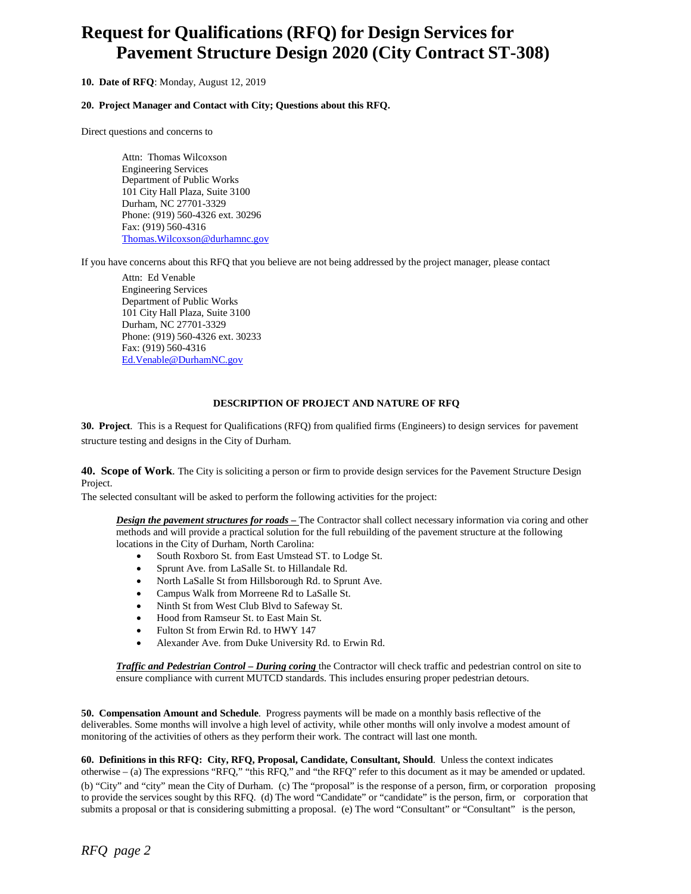# **Request for Qualifications (RFQ) for Design Services for Pavement Structure Design 2020 (City Contract ST-308)**

# **10. Date of RFQ**: Monday, August 12, 2019

#### **20. Project Manager and Contact with City; Questions about this RFQ.**

Direct questions and concerns to

Attn: Thomas Wilcoxson Engineering Services Department of Public Works 101 City Hall Plaza, Suite 3100 Durham, NC 27701-3329 Phone: (919) 560-4326 ext. 30296 Fax: (919) 560-4316 [Thomas.Wilcoxson@durhamnc.gov](mailto:Thomas.Wilcoxson@durhamnc.gov)

If you have concerns about this RFQ that you believe are not being addressed by the project manager, please contact

Attn: Ed Venable Engineering Services Department of Public Works 101 City Hall Plaza, Suite 3100 Durham, NC 27701-3329 Phone: (919) 560-4326 ext. 30233 Fax: (919) 560-4316 [Ed.Venable@DurhamNC.gov](mailto:Ed.Venable@DurhamNC.gov)

# **DESCRIPTION OF PROJECT AND NATURE OF RFQ**

**30. Project**. This is a Request for Qualifications (RFQ) from qualified firms (Engineers) to design services for pavement structure testing and designs in the City of Durham.

**40. Scope of Work**. The City is soliciting a person or firm to provide design services for the Pavement Structure Design Project.

The selected consultant will be asked to perform the following activities for the project:

*Design the pavement structures for roads –* The Contractor shall collect necessary information via coring and other methods and will provide a practical solution for the full rebuilding of the pavement structure at the following locations in the City of Durham, North Carolina:

- South Roxboro St. from East Umstead ST. to Lodge St.
- Sprunt Ave. from LaSalle St. to Hillandale Rd.
- North LaSalle St from Hillsborough Rd. to Sprunt Ave.
- Campus Walk from Morreene Rd to LaSalle St.
- Ninth St from West Club Blvd to Safeway St.
- Hood from Ramseur St. to East Main St.
- Fulton St from Erwin Rd. to HWY 147
- Alexander Ave. from Duke University Rd. to Erwin Rd.

*Traffic and Pedestrian Control – During coring* the Contractor will check traffic and pedestrian control on site to ensure compliance with current MUTCD standards. This includes ensuring proper pedestrian detours.

**50. Compensation Amount and Schedule**. Progress payments will be made on a monthly basis reflective of the deliverables. Some months will involve a high level of activity, while other months will only involve a modest amount of monitoring of the activities of others as they perform their work. The contract will last one month.

**60. Definitions in this RFQ: City, RFQ, Proposal, Candidate, Consultant, Should**. Unless the context indicates otherwise – (a) The expressions "RFQ," "this RFQ," and "the RFQ" refer to this document as it may be amended or updated. (b) "City" and "city" mean the City of Durham. (c) The "proposal" is the response of a person, firm, or corporation proposing to provide the services sought by this RFQ. (d) The word "Candidate" or "candidate" is the person, firm, or corporation that submits a proposal or that is considering submitting a proposal. (e) The word "Consultant" or "Consultant" is the person,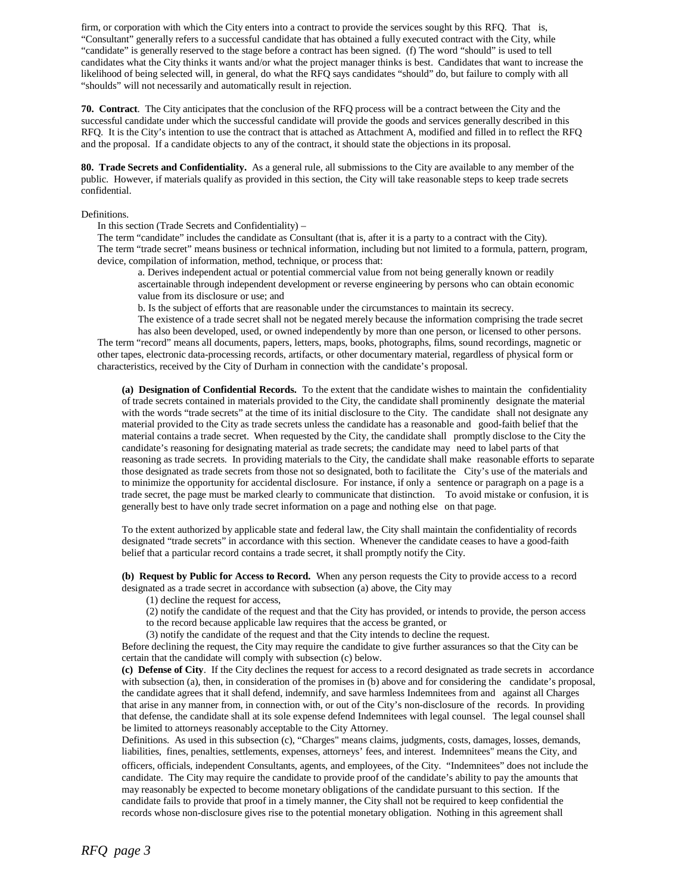firm, or corporation with which the City enters into a contract to provide the services sought by this RFQ. That is, "Consultant" generally refers to a successful candidate that has obtained a fully executed contract with the City, while "candidate" is generally reserved to the stage before a contract has been signed. (f) The word "should" is used to tell candidates what the City thinks it wants and/or what the project manager thinks is best. Candidates that want to increase the likelihood of being selected will, in general, do what the RFQ says candidates "should" do, but failure to comply with all "shoulds" will not necessarily and automatically result in rejection.

**70. Contract**. The City anticipates that the conclusion of the RFQ process will be a contract between the City and the successful candidate under which the successful candidate will provide the goods and services generally described in this RFQ. It is the City's intention to use the contract that is attached as Attachment A, modified and filled in to reflect the RFQ and the proposal. If a candidate objects to any of the contract, it should state the objections in its proposal.

**80. Trade Secrets and Confidentiality.** As a general rule, all submissions to the City are available to any member of the public. However, if materials qualify as provided in this section, the City will take reasonable steps to keep trade secrets confidential.

Definitions.

In this section (Trade Secrets and Confidentiality) –

The term "candidate" includes the candidate as Consultant (that is, after it is a party to a contract with the City). The term "trade secret" means business or technical information, including but not limited to a formula, pattern, program, device, compilation of information, method, technique, or process that:

a. Derives independent actual or potential commercial value from not being generally known or readily ascertainable through independent development or reverse engineering by persons who can obtain economic value from its disclosure or use; and

b. Is the subject of efforts that are reasonable under the circumstances to maintain its secrecy.

The existence of a trade secret shall not be negated merely because the information comprising the trade secret has also been developed, used, or owned independently by more than one person, or licensed to other persons. The term "record" means all documents, papers, letters, maps, books, photographs, films, sound recordings, magnetic or other tapes, electronic data-processing records, artifacts, or other documentary material, regardless of physical form or characteristics, received by the City of Durham in connection with the candidate's proposal.

**(a) Designation of Confidential Records.** To the extent that the candidate wishes to maintain the confidentiality of trade secrets contained in materials provided to the City, the candidate shall prominently designate the material with the words "trade secrets" at the time of its initial disclosure to the City. The candidate shall not designate any material provided to the City as trade secrets unless the candidate has a reasonable and good-faith belief that the material contains a trade secret. When requested by the City, the candidate shall promptly disclose to the City the candidate's reasoning for designating material as trade secrets; the candidate may need to label parts of that reasoning as trade secrets. In providing materials to the City, the candidate shall make reasonable efforts to separate those designated as trade secrets from those not so designated, both to facilitate the City's use of the materials and to minimize the opportunity for accidental disclosure. For instance, if only a sentence or paragraph on a page is a trade secret, the page must be marked clearly to communicate that distinction. To avoid mistake or confusion, it is generally best to have only trade secret information on a page and nothing else on that page.

To the extent authorized by applicable state and federal law, the City shall maintain the confidentiality of records designated "trade secrets" in accordance with this section. Whenever the candidate ceases to have a good-faith belief that a particular record contains a trade secret, it shall promptly notify the City.

**(b) Request by Public for Access to Record.** When any person requests the City to provide access to a record designated as a trade secret in accordance with subsection (a) above, the City may

(1) decline the request for access,

(2) notify the candidate of the request and that the City has provided, or intends to provide, the person access to the record because applicable law requires that the access be granted, or

(3) notify the candidate of the request and that the City intends to decline the request.

Before declining the request, the City may require the candidate to give further assurances so that the City can be certain that the candidate will comply with subsection (c) below.

**(c) Defense of City**. If the City declines the request for access to a record designated as trade secrets in accordance with subsection (a), then, in consideration of the promises in (b) above and for considering the candidate's proposal, the candidate agrees that it shall defend, indemnify, and save harmless Indemnitees from and against all Charges that arise in any manner from, in connection with, or out of the City's non-disclosure of the records. In providing that defense, the candidate shall at its sole expense defend Indemnitees with legal counsel. The legal counsel shall be limited to attorneys reasonably acceptable to the City Attorney.

Definitions. As used in this subsection (c), "Charges" means claims, judgments, costs, damages, losses, demands, liabilities, fines, penalties, settlements, expenses, attorneys' fees, and interest. Indemnitees" means the City, and

officers, officials, independent Consultants, agents, and employees, of the City. "Indemnitees" does not include the candidate. The City may require the candidate to provide proof of the candidate's ability to pay the amounts that may reasonably be expected to become monetary obligations of the candidate pursuant to this section. If the candidate fails to provide that proof in a timely manner, the City shall not be required to keep confidential the records whose non-disclosure gives rise to the potential monetary obligation. Nothing in this agreement shall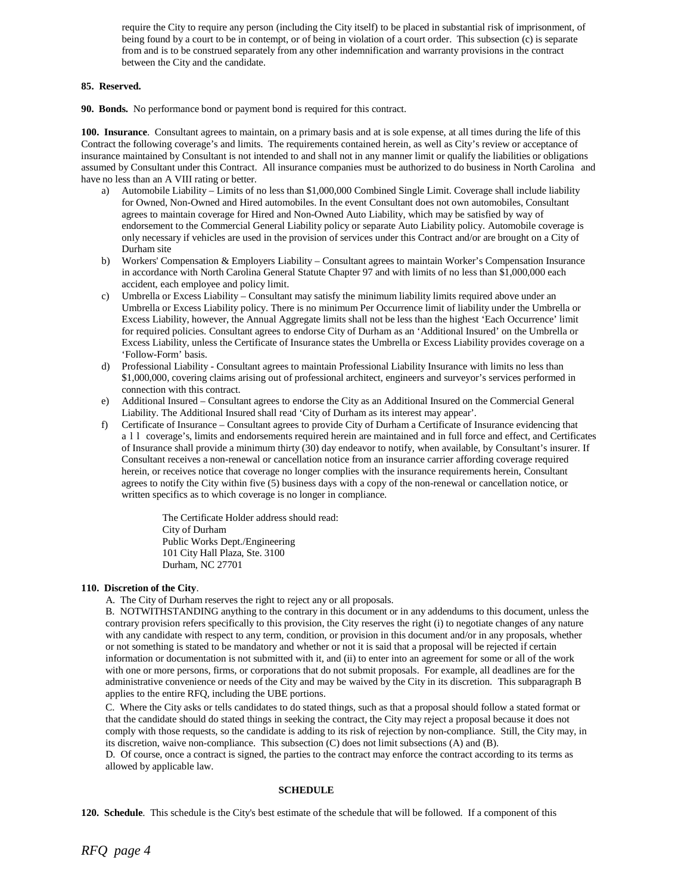require the City to require any person (including the City itself) to be placed in substantial risk of imprisonment, of being found by a court to be in contempt, or of being in violation of a court order. This subsection (c) is separate from and is to be construed separately from any other indemnification and warranty provisions in the contract between the City and the candidate.

### **85. Reserved.**

**90. Bonds.** No performance bond or payment bond is required for this contract.

**100. Insurance**. Consultant agrees to maintain, on a primary basis and at is sole expense, at all times during the life of this Contract the following coverage's and limits. The requirements contained herein, as well as City's review or acceptance of insurance maintained by Consultant is not intended to and shall not in any manner limit or qualify the liabilities or obligations assumed by Consultant under this Contract. All insurance companies must be authorized to do business in North Carolina and have no less than an A VIII rating or better.

- a) Automobile Liability Limits of no less than \$1,000,000 Combined Single Limit. Coverage shall include liability for Owned, Non-Owned and Hired automobiles. In the event Consultant does not own automobiles, Consultant agrees to maintain coverage for Hired and Non-Owned Auto Liability, which may be satisfied by way of endorsement to the Commercial General Liability policy or separate Auto Liability policy. Automobile coverage is only necessary if vehicles are used in the provision of services under this Contract and/or are brought on a City of Durham site
- b) Workers' Compensation & Employers Liability Consultant agrees to maintain Worker's Compensation Insurance in accordance with North Carolina General Statute Chapter 97 and with limits of no less than \$1,000,000 each accident, each employee and policy limit.
- c) Umbrella or Excess Liability Consultant may satisfy the minimum liability limits required above under an Umbrella or Excess Liability policy. There is no minimum Per Occurrence limit of liability under the Umbrella or Excess Liability, however, the Annual Aggregate limits shall not be less than the highest 'Each Occurrence' limit for required policies. Consultant agrees to endorse City of Durham as an 'Additional Insured' on the Umbrella or Excess Liability, unless the Certificate of Insurance states the Umbrella or Excess Liability provides coverage on a 'Follow-Form' basis.
- d) Professional Liability Consultant agrees to maintain Professional Liability Insurance with limits no less than \$1,000,000, covering claims arising out of professional architect, engineers and surveyor's services performed in connection with this contract.
- e) Additional Insured Consultant agrees to endorse the City as an Additional Insured on the Commercial General Liability. The Additional Insured shall read 'City of Durham as its interest may appear'.
- f) Certificate of Insurance Consultant agrees to provide City of Durham a Certificate of Insurance evidencing that all coverage's, limits and endorsements required herein are maintained and in full force and effect, and Certificates of Insurance shall provide a minimum thirty (30) day endeavor to notify, when available, by Consultant's insurer. If Consultant receives a non-renewal or cancellation notice from an insurance carrier affording coverage required herein, or receives notice that coverage no longer complies with the insurance requirements herein, Consultant agrees to notify the City within five (5) business days with a copy of the non-renewal or cancellation notice, or written specifics as to which coverage is no longer in compliance.

The Certificate Holder address should read: City of Durham Public Works Dept./Engineering 101 City Hall Plaza, Ste. 3100 Durham, NC 27701

#### **110. Discretion of the City**.

A. The City of Durham reserves the right to reject any or all proposals.

B. NOTWITHSTANDING anything to the contrary in this document or in any addendums to this document, unless the contrary provision refers specifically to this provision, the City reserves the right (i) to negotiate changes of any nature with any candidate with respect to any term, condition, or provision in this document and/or in any proposals, whether or not something is stated to be mandatory and whether or not it is said that a proposal will be rejected if certain information or documentation is not submitted with it, and (ii) to enter into an agreement for some or all of the work with one or more persons, firms, or corporations that do not submit proposals. For example, all deadlines are for the administrative convenience or needs of the City and may be waived by the City in its discretion. This subparagraph B applies to the entire RFQ, including the UBE portions.

C. Where the City asks or tells candidates to do stated things, such as that a proposal should follow a stated format or that the candidate should do stated things in seeking the contract, the City may reject a proposal because it does not comply with those requests, so the candidate is adding to its risk of rejection by non-compliance. Still, the City may, in its discretion, waive non-compliance. This subsection (C) does not limit subsections (A) and (B).

D. Of course, once a contract is signed, the parties to the contract may enforce the contract according to its terms as allowed by applicable law.

#### **SCHEDULE**

**120. Schedule**. This schedule is the City's best estimate of the schedule that will be followed. If a component of this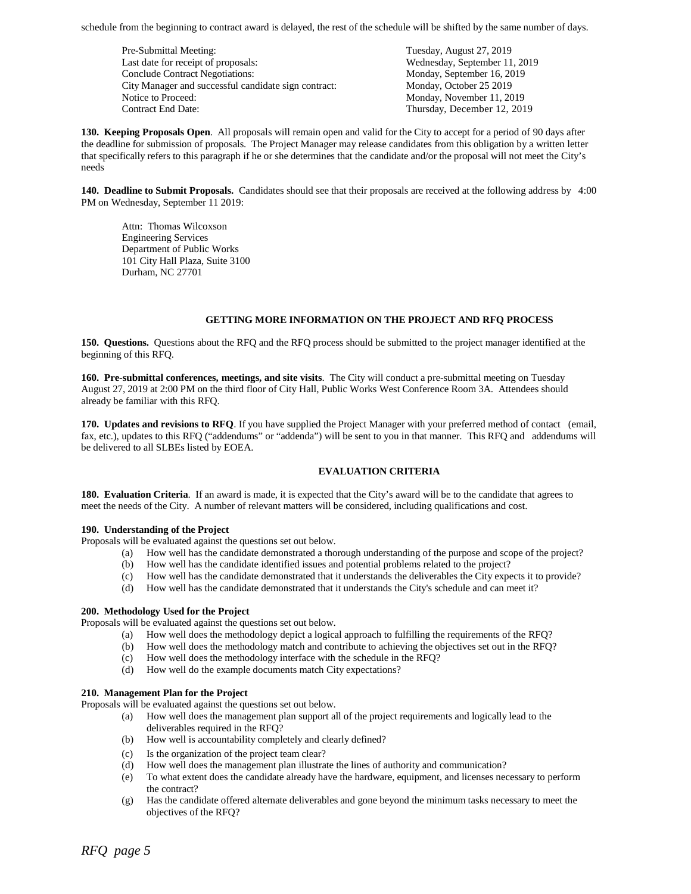schedule from the beginning to contract award is delayed, the rest of the schedule will be shifted by the same number of days.

Pre-Submittal Meeting: Tuesday, August 27, 2019 Last date for receipt of proposals: Wednesday, September 11, 2019 Conclude Contract Negotiations: Monday, September 16, 2019 City Manager and successful candidate sign contract: Monday, October 25 2019 Notice to Proceed: Monday, November 11, 2019 Contract End Date: Thursday, December 12, 2019

**130. Keeping Proposals Open**. All proposals will remain open and valid for the City to accept for a period of 90 days after the deadline for submission of proposals. The Project Manager may release candidates from this obligation by a written letter that specifically refers to this paragraph if he or she determines that the candidate and/or the proposal will not meet the City's needs

**140. Deadline to Submit Proposals.** Candidates should see that their proposals are received at the following address by 4:00 PM on Wednesday, September 11 2019:

Attn: Thomas Wilcoxson Engineering Services Department of Public Works 101 City Hall Plaza, Suite 3100 Durham, NC 27701

#### **GETTING MORE INFORMATION ON THE PROJECT AND RFQ PROCESS**

**150. Questions.** Questions about the RFQ and the RFQ process should be submitted to the project manager identified at the beginning of this RFQ.

**160. Pre-submittal conferences, meetings, and site visits**. The City will conduct a pre-submittal meeting on Tuesday August 27, 2019 at 2:00 PM on the third floor of City Hall, Public Works West Conference Room 3A. Attendees should already be familiar with this RFQ.

**170. Updates and revisions to RFQ**. If you have supplied the Project Manager with your preferred method of contact (email, fax, etc.), updates to this RFQ ("addendums" or "addenda") will be sent to you in that manner. This RFQ and addendums will be delivered to all SLBEs listed by EOEA.

#### **EVALUATION CRITERIA**

**180. Evaluation Criteria**. If an award is made, it is expected that the City's award will be to the candidate that agrees to meet the needs of the City. A number of relevant matters will be considered, including qualifications and cost.

#### **190. Understanding of the Project**

Proposals will be evaluated against the questions set out below.

- (a) How well has the candidate demonstrated a thorough understanding of the purpose and scope of the project?
- (b) How well has the candidate identified issues and potential problems related to the project?
- (c) How well has the candidate demonstrated that it understands the deliverables the City expects it to provide?
- (d) How well has the candidate demonstrated that it understands the City's schedule and can meet it?

#### **200. Methodology Used for the Project**

Proposals will be evaluated against the questions set out below.

- (a) How well does the methodology depict a logical approach to fulfilling the requirements of the RFQ?
- (b) How well does the methodology match and contribute to achieving the objectives set out in the RFQ?
- (c) How well does the methodology interface with the schedule in the RFQ?
- (d) How well do the example documents match City expectations?

#### **210. Management Plan for the Project**

Proposals will be evaluated against the questions set out below.

- (a) How well does the management plan support all of the project requirements and logically lead to the deliverables required in the RFQ?
- (b) How well is accountability completely and clearly defined?
- (c) Is the organization of the project team clear?
- (d) How well does the management plan illustrate the lines of authority and communication?
- (e) To what extent does the candidate already have the hardware, equipment, and licenses necessary to perform the contract?
- (g) Has the candidate offered alternate deliverables and gone beyond the minimum tasks necessary to meet the objectives of the RFQ?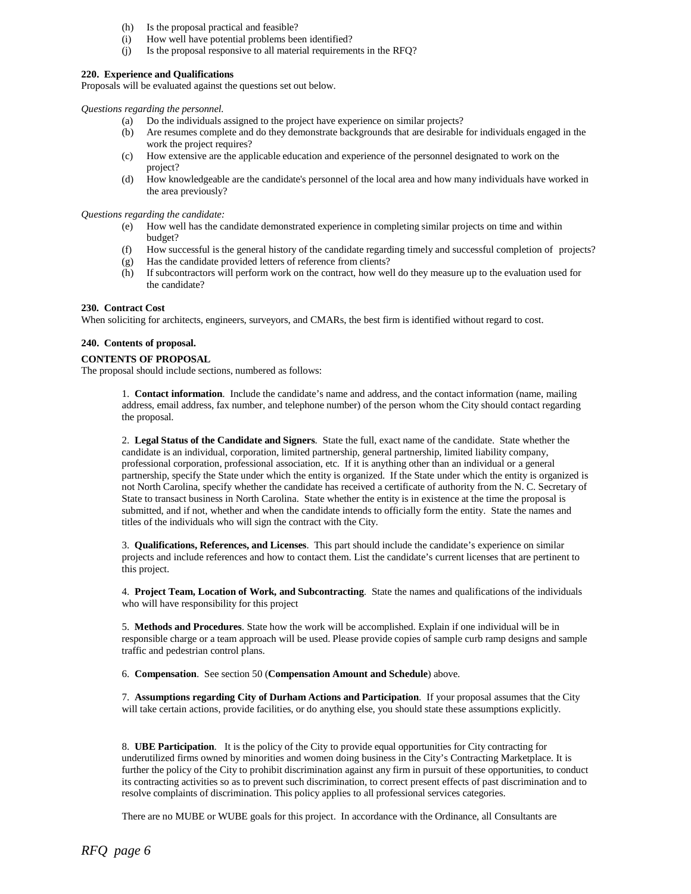- (h) Is the proposal practical and feasible?
- (i) How well have potential problems been identified?
- (j) Is the proposal responsive to all material requirements in the RFQ?

### **220. Experience and Qualifications**

Proposals will be evaluated against the questions set out below.

*Questions regarding the personnel.*

- (a) Do the individuals assigned to the project have experience on similar projects?
- (b) Are resumes complete and do they demonstrate backgrounds that are desirable for individuals engaged in the work the project requires?
- (c) How extensive are the applicable education and experience of the personnel designated to work on the project?
- (d) How knowledgeable are the candidate's personnel of the local area and how many individuals have worked in the area previously?

*Questions regarding the candidate:*

- (e) How well has the candidate demonstrated experience in completing similar projects on time and within budget?
- (f) How successful is the general history of the candidate regarding timely and successful completion of projects?
- 
- (g) Has the candidate provided letters of reference from clients?<br>
(h) If subcontractors will perform work on the contract. how well If subcontractors will perform work on the contract, how well do they measure up to the evaluation used for the candidate?

#### **230. Contract Cost**

When soliciting for architects, engineers, surveyors, and CMARs, the best firm is identified without regard to cost.

#### **240. Contents of proposal.**

#### **CONTENTS OF PROPOSAL**

The proposal should include sections, numbered as follows:

1. **Contact information**. Include the candidate's name and address, and the contact information (name, mailing address, email address, fax number, and telephone number) of the person whom the City should contact regarding the proposal.

2. **Legal Status of the Candidate and Signers**. State the full, exact name of the candidate. State whether the candidate is an individual, corporation, limited partnership, general partnership, limited liability company, professional corporation, professional association, etc. If it is anything other than an individual or a general partnership, specify the State under which the entity is organized. If the State under which the entity is organized is not North Carolina, specify whether the candidate has received a certificate of authority from the N. C. Secretary of State to transact business in North Carolina. State whether the entity is in existence at the time the proposal is submitted, and if not, whether and when the candidate intends to officially form the entity. State the names and titles of the individuals who will sign the contract with the City.

3. **Qualifications, References, and Licenses**. This part should include the candidate's experience on similar projects and include references and how to contact them. List the candidate's current licenses that are pertinent to this project.

4. **Project Team, Location of Work, and Subcontracting**. State the names and qualifications of the individuals who will have responsibility for this project

5. **Methods and Procedures**. State how the work will be accomplished. Explain if one individual will be in responsible charge or a team approach will be used. Please provide copies of sample curb ramp designs and sample traffic and pedestrian control plans.

6. **Compensation**. See section 50 (**Compensation Amount and Schedule**) above.

7. **Assumptions regarding City of Durham Actions and Participation**. If your proposal assumes that the City will take certain actions, provide facilities, or do anything else, you should state these assumptions explicitly.

8. **UBE Participation**. It is the policy of the City to provide equal opportunities for City contracting for underutilized firms owned by minorities and women doing business in the City's Contracting Marketplace. It is further the policy of the City to prohibit discrimination against any firm in pursuit of these opportunities, to conduct its contracting activities so as to prevent such discrimination, to correct present effects of past discrimination and to resolve complaints of discrimination. This policy applies to all professional services categories.

There are no MUBE or WUBE goals for this project. In accordance with the Ordinance, all Consultants are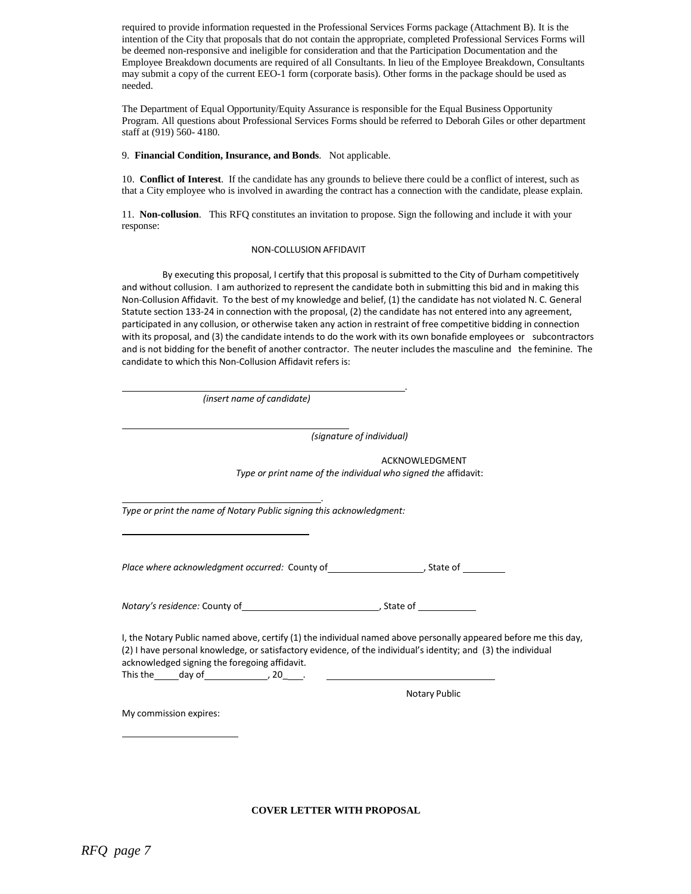required to provide information requested in the Professional Services Forms package (Attachment B). It is the intention of the City that proposals that do not contain the appropriate, completed Professional Services Forms will be deemed non-responsive and ineligible for consideration and that the Participation Documentation and the Employee Breakdown documents are required of all Consultants. In lieu of the Employee Breakdown, Consultants may submit a copy of the current EEO-1 form (corporate basis). Other forms in the package should be used as needed.

The Department of Equal Opportunity/Equity Assurance is responsible for the Equal Business Opportunity Program. All questions about Professional Services Forms should be referred to Deborah Giles or other department staff at (919) 560- 4180.

#### 9. **Financial Condition, Insurance, and Bonds**. Not applicable.

10. **Conflict of Interest**. If the candidate has any grounds to believe there could be a conflict of interest, such as that a City employee who is involved in awarding the contract has a connection with the candidate, please explain.

11. **Non-collusion**. This RFQ constitutes an invitation to propose. Sign the following and include it with your response:

#### NON-COLLUSION AFFIDAVIT

By executing this proposal, I certify that this proposal is submitted to the City of Durham competitively and without collusion. I am authorized to represent the candidate both in submitting this bid and in making this Non-Collusion Affidavit. To the best of my knowledge and belief, (1) the candidate has not violated N. C. General Statute section 133-24 in connection with the proposal, (2) the candidate has not entered into any agreement, participated in any collusion, or otherwise taken any action in restraint of free competitive bidding in connection with its proposal, and (3) the candidate intends to do the work with its own bonafide employees or subcontractors and is not bidding for the benefit of another contractor. The neuter includes the masculine and the feminine. The candidate to which this Non-Collusion Affidavit refers is:

| (insert name of candidate)                                                                    |                                                                                                                                                                                                                                   |
|-----------------------------------------------------------------------------------------------|-----------------------------------------------------------------------------------------------------------------------------------------------------------------------------------------------------------------------------------|
|                                                                                               | (signature of individual)                                                                                                                                                                                                         |
|                                                                                               | ACKNOWLEDGMENT                                                                                                                                                                                                                    |
|                                                                                               | Type or print name of the individual who signed the affidavit:                                                                                                                                                                    |
| Type or print the name of Notary Public signing this acknowledgment:                          |                                                                                                                                                                                                                                   |
| Place where acknowledgment occurred: County of ________________________, State of ___________ |                                                                                                                                                                                                                                   |
|                                                                                               |                                                                                                                                                                                                                                   |
| acknowledged signing the foregoing affidavit.                                                 | I, the Notary Public named above, certify (1) the individual named above personally appeared before me this day,<br>(2) I have personal knowledge, or satisfactory evidence, of the individual's identity; and (3) the individual |
|                                                                                               | <b>Notary Public</b>                                                                                                                                                                                                              |
| My commission expires:                                                                        |                                                                                                                                                                                                                                   |
|                                                                                               |                                                                                                                                                                                                                                   |

**COVER LETTER WITH PROPOSAL**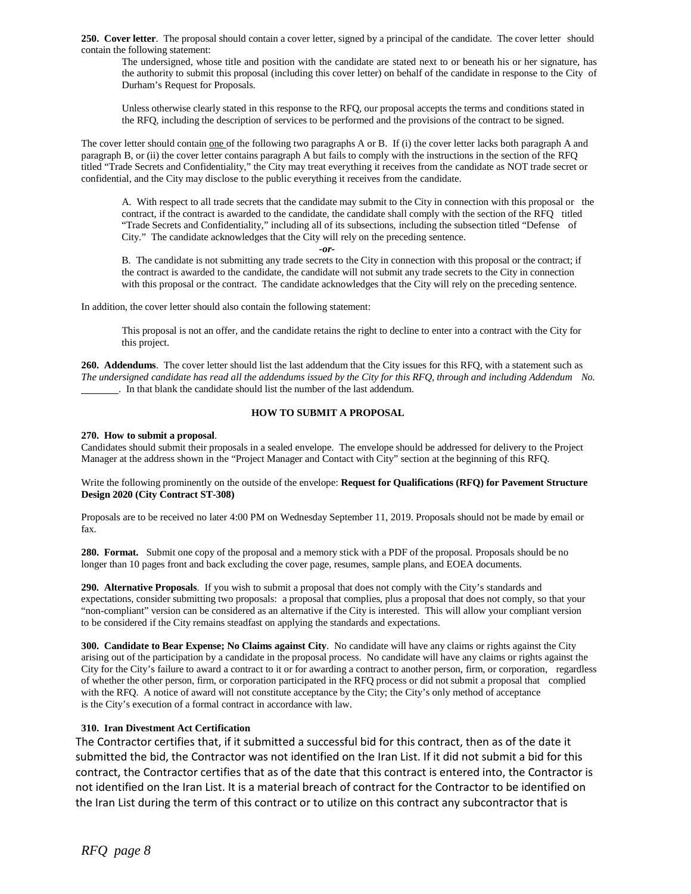**250. Cover letter**. The proposal should contain a cover letter, signed by a principal of the candidate. The cover letter should contain the following statement:

The undersigned, whose title and position with the candidate are stated next to or beneath his or her signature, has the authority to submit this proposal (including this cover letter) on behalf of the candidate in response to the City of Durham's Request for Proposals.

Unless otherwise clearly stated in this response to the RFQ, our proposal accepts the terms and conditions stated in the RFQ, including the description of services to be performed and the provisions of the contract to be signed.

The cover letter should contain one of the following two paragraphs A or B. If (i) the cover letter lacks both paragraph A and paragraph B, or (ii) the cover letter contains paragraph A but fails to comply with the instructions in the section of the RFQ titled "Trade Secrets and Confidentiality," the City may treat everything it receives from the candidate as NOT trade secret or confidential, and the City may disclose to the public everything it receives from the candidate.

A. With respect to all trade secrets that the candidate may submit to the City in connection with this proposal or the contract, if the contract is awarded to the candidate, the candidate shall comply with the section of the RFQ titled "Trade Secrets and Confidentiality," including all of its subsections, including the subsection titled "Defense of City." The candidate acknowledges that the City will rely on the preceding sentence.

*-or-*

B. The candidate is not submitting any trade secrets to the City in connection with this proposal or the contract; if the contract is awarded to the candidate, the candidate will not submit any trade secrets to the City in connection with this proposal or the contract. The candidate acknowledges that the City will rely on the preceding sentence.

In addition, the cover letter should also contain the following statement:

This proposal is not an offer, and the candidate retains the right to decline to enter into a contract with the City for this project.

**260. Addendums**. The cover letter should list the last addendum that the City issues for this RFQ, with a statement such as The undersigned candidate has read all the addendums issued by the City for this RFQ, through and including Addendum No. . In that blank the candidate should list the number of the last addendum.

# **HOW TO SUBMIT A PROPOSAL**

#### **270. How to submit a proposal**.

Candidates should submit their proposals in a sealed envelope. The envelope should be addressed for delivery to the Project Manager at the address shown in the "Project Manager and Contact with City" section at the beginning of this RFQ.

Write the following prominently on the outside of the envelope: **Request for Qualifications (RFQ) for Pavement Structure Design 2020 (City Contract ST-308)**

Proposals are to be received no later 4:00 PM on Wednesday September 11, 2019. Proposals should not be made by email or fax.

**280. Format.** Submit one copy of the proposal and a memory stick with a PDF of the proposal. Proposals should be no longer than 10 pages front and back excluding the cover page, resumes, sample plans, and EOEA documents.

**290. Alternative Proposals**. If you wish to submit a proposal that does not comply with the City's standards and expectations, consider submitting two proposals: a proposal that complies, plus a proposal that does not comply, so that your "non-compliant" version can be considered as an alternative if the City is interested. This will allow your compliant version to be considered if the City remains steadfast on applying the standards and expectations.

**300. Candidate to Bear Expense; No Claims against City**. No candidate will have any claims or rights against the City arising out of the participation by a candidate in the proposal process. No candidate will have any claims or rights against the City for the City's failure to award a contract to it or for awarding a contract to another person, firm, or corporation, regardless of whether the other person, firm, or corporation participated in the RFQ process or did not submit a proposal that complied with the RFQ. A notice of award will not constitute acceptance by the City; the City's only method of acceptance is the City's execution of a formal contract in accordance with law.

# **310. Iran Divestment Act Certification**

The Contractor certifies that, if it submitted a successful bid for this contract, then as of the date it submitted the bid, the Contractor was not identified on the Iran List. If it did not submit a bid for this contract, the Contractor certifies that as of the date that this contract is entered into, the Contractor is not identified on the Iran List. It is a material breach of contract for the Contractor to be identified on the Iran List during the term of this contract or to utilize on this contract any subcontractor that is